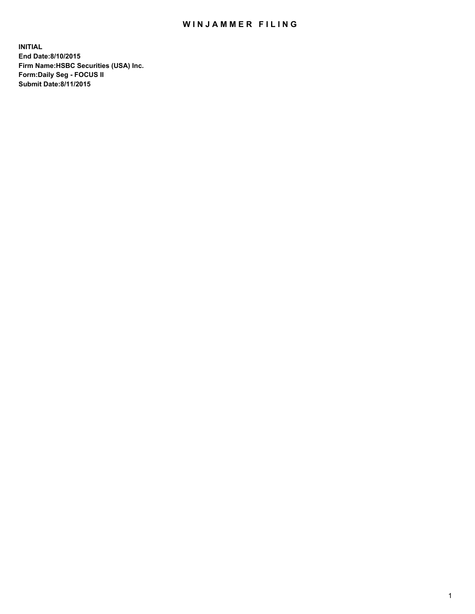## WIN JAMMER FILING

**INITIAL End Date:8/10/2015 Firm Name:HSBC Securities (USA) Inc. Form:Daily Seg - FOCUS II Submit Date:8/11/2015**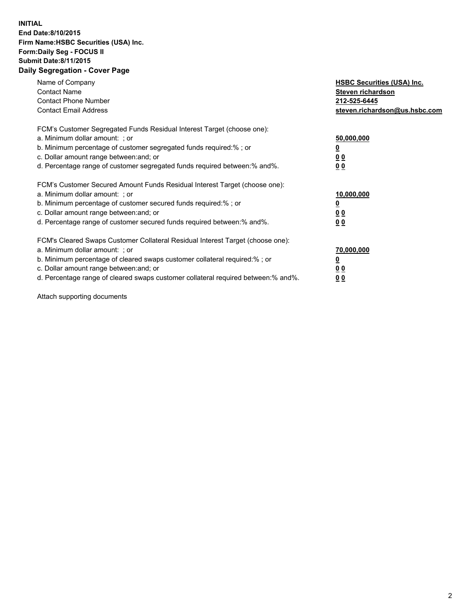## **INITIAL End Date:8/10/2015 Firm Name:HSBC Securities (USA) Inc. Form:Daily Seg - FOCUS II Submit Date:8/11/2015 Daily Segregation - Cover Page**

| Name of Company<br><b>Contact Name</b><br><b>Contact Phone Number</b><br><b>Contact Email Address</b>                                                                                                                                                                                                                          | <b>HSBC Securities (USA) Inc.</b><br>Steven richardson<br>212-525-6445<br>steven.richardson@us.hsbc.com |
|--------------------------------------------------------------------------------------------------------------------------------------------------------------------------------------------------------------------------------------------------------------------------------------------------------------------------------|---------------------------------------------------------------------------------------------------------|
| FCM's Customer Segregated Funds Residual Interest Target (choose one):<br>a. Minimum dollar amount: ; or<br>b. Minimum percentage of customer segregated funds required:%; or<br>c. Dollar amount range between: and; or<br>d. Percentage range of customer segregated funds required between: % and %.                        | 50,000,000<br>0 <sub>0</sub><br>0 <sub>0</sub>                                                          |
| FCM's Customer Secured Amount Funds Residual Interest Target (choose one):<br>a. Minimum dollar amount: ; or<br>b. Minimum percentage of customer secured funds required:%; or<br>c. Dollar amount range between: and; or<br>d. Percentage range of customer secured funds required between:% and%.                            | 10,000,000<br><u>0</u><br>0 <sub>0</sub><br>0 <sub>0</sub>                                              |
| FCM's Cleared Swaps Customer Collateral Residual Interest Target (choose one):<br>a. Minimum dollar amount: ; or<br>b. Minimum percentage of cleared swaps customer collateral required:% ; or<br>c. Dollar amount range between: and; or<br>d. Percentage range of cleared swaps customer collateral required between:% and%. | 70,000,000<br>00<br><u>00</u>                                                                           |

Attach supporting documents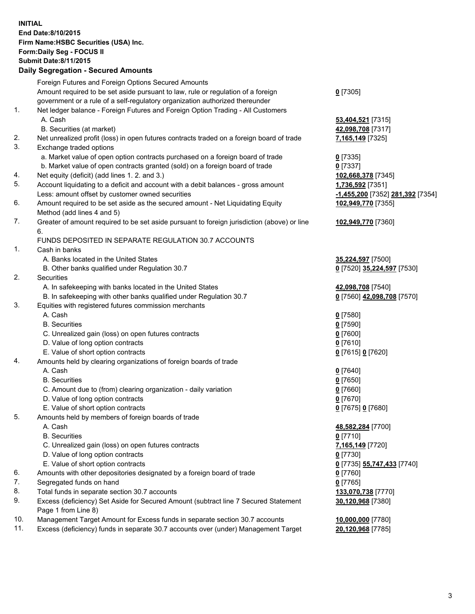**INITIAL End Date:8/10/2015 Firm Name:HSBC Securities (USA) Inc. Form:Daily Seg - FOCUS II Submit Date:8/11/2015 Daily Segregation - Secured Amounts**

Foreign Futures and Foreign Options Secured Amounts Amount required to be set aside pursuant to law, rule or regulation of a foreign government or a rule of a self-regulatory organization authorized thereunder **0** [7305] 1. Net ledger balance - Foreign Futures and Foreign Option Trading - All Customers A. Cash **53,404,521** [7315] B. Securities (at market) **42,098,708** [7317] 2. Net unrealized profit (loss) in open futures contracts traded on a foreign board of trade **7,165,149** [7325] 3. Exchange traded options a. Market value of open option contracts purchased on a foreign board of trade **0** [7335] b. Market value of open contracts granted (sold) on a foreign board of trade **0** [7337] 4. Net equity (deficit) (add lines 1. 2. and 3.) **102,668,378** [7345] 5. Account liquidating to a deficit and account with a debit balances - gross amount **1,736,592** [7351] Less: amount offset by customer owned securities **-1,455,200** [7352] **281,392** [7354] 6. Amount required to be set aside as the secured amount - Net Liquidating Equity Method (add lines 4 and 5) **102,949,770** [7355] 7. Greater of amount required to be set aside pursuant to foreign jurisdiction (above) or line 6. **102,949,770** [7360] FUNDS DEPOSITED IN SEPARATE REGULATION 30.7 ACCOUNTS 1. Cash in banks A. Banks located in the United States **35,224,597** [7500] B. Other banks qualified under Regulation 30.7 **0** [7520] **35,224,597** [7530] 2. Securities A. In safekeeping with banks located in the United States **42,098,708** [7540] B. In safekeeping with other banks qualified under Regulation 30.7 **0** [7560] **42,098,708** [7570] 3. Equities with registered futures commission merchants A. Cash **0** [7580] B. Securities **0** [7590] C. Unrealized gain (loss) on open futures contracts **0** [7600] D. Value of long option contracts **0** [7610] E. Value of short option contracts **0** [7615] **0** [7620] 4. Amounts held by clearing organizations of foreign boards of trade A. Cash **0** [7640] B. Securities **0** [7650] C. Amount due to (from) clearing organization - daily variation **0** [7660] D. Value of long option contracts **0** [7670] E. Value of short option contracts **0** [7675] **0** [7680] 5. Amounts held by members of foreign boards of trade A. Cash **48,582,284** [7700] B. Securities **0** [7710] C. Unrealized gain (loss) on open futures contracts **7,165,149** [7720] D. Value of long option contracts **0** [7730] E. Value of short option contracts **0** [7735] **55,747,433** [7740] 6. Amounts with other depositories designated by a foreign board of trade **0** [7760] 7. Segregated funds on hand **0** [7765] 8. Total funds in separate section 30.7 accounts **133,070,738** [7770] 9. Excess (deficiency) Set Aside for Secured Amount (subtract line 7 Secured Statement Page 1 from Line 8) **30,120,968** [7380] 10. Management Target Amount for Excess funds in separate section 30.7 accounts **10,000,000** [7780] 11. Excess (deficiency) funds in separate 30.7 accounts over (under) Management Target **20,120,968** [7785]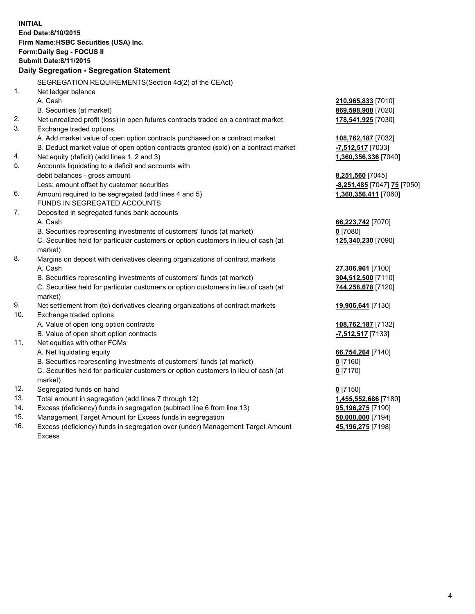| <b>INITIAL</b>                            | End Date: 8/10/2015<br>Firm Name: HSBC Securities (USA) Inc.                                   |                                          |  |  |
|-------------------------------------------|------------------------------------------------------------------------------------------------|------------------------------------------|--|--|
| Form: Daily Seg - FOCUS II                |                                                                                                |                                          |  |  |
| <b>Submit Date: 8/11/2015</b>             |                                                                                                |                                          |  |  |
| Daily Segregation - Segregation Statement |                                                                                                |                                          |  |  |
|                                           |                                                                                                |                                          |  |  |
| 1.                                        | SEGREGATION REQUIREMENTS(Section 4d(2) of the CEAct)                                           |                                          |  |  |
|                                           | Net ledger balance<br>A. Cash                                                                  |                                          |  |  |
|                                           | B. Securities (at market)                                                                      | 210,965,833 [7010]<br>869,598,908 [7020] |  |  |
| 2.                                        | Net unrealized profit (loss) in open futures contracts traded on a contract market             | 178,541,925 [7030]                       |  |  |
| 3.                                        | Exchange traded options                                                                        |                                          |  |  |
|                                           | A. Add market value of open option contracts purchased on a contract market                    | 108,762,187 [7032]                       |  |  |
|                                           | B. Deduct market value of open option contracts granted (sold) on a contract market            | -7,512,517 [7033]                        |  |  |
| 4.                                        | Net equity (deficit) (add lines 1, 2 and 3)                                                    | 1,360,356,336 [7040]                     |  |  |
| 5.                                        | Accounts liquidating to a deficit and accounts with                                            |                                          |  |  |
|                                           | debit balances - gross amount                                                                  | 8,251,560 [7045]                         |  |  |
|                                           | Less: amount offset by customer securities                                                     | -8,251,485 [7047] 75 [7050]              |  |  |
| 6.                                        | Amount required to be segregated (add lines 4 and 5)                                           | 1,360,356,411 [7060]                     |  |  |
|                                           | FUNDS IN SEGREGATED ACCOUNTS                                                                   |                                          |  |  |
| 7.                                        | Deposited in segregated funds bank accounts                                                    |                                          |  |  |
|                                           | A. Cash                                                                                        | 66,223,742 [7070]                        |  |  |
|                                           | B. Securities representing investments of customers' funds (at market)                         | $0$ [7080]                               |  |  |
|                                           | C. Securities held for particular customers or option customers in lieu of cash (at<br>market) | 125,340,230 [7090]                       |  |  |
| 8.                                        | Margins on deposit with derivatives clearing organizations of contract markets                 |                                          |  |  |
|                                           | A. Cash                                                                                        | 27,306,961 [7100]                        |  |  |
|                                           | B. Securities representing investments of customers' funds (at market)                         | 304,512,500 [7110]                       |  |  |
|                                           | C. Securities held for particular customers or option customers in lieu of cash (at<br>market) | 744,258,678 [7120]                       |  |  |
| 9.                                        | Net settlement from (to) derivatives clearing organizations of contract markets                | 19,906,641 [7130]                        |  |  |
| 10.                                       | Exchange traded options                                                                        |                                          |  |  |
|                                           | A. Value of open long option contracts                                                         | 108,762,187 [7132]                       |  |  |
|                                           | B. Value of open short option contracts                                                        | -7,512,517 [7133]                        |  |  |
| 11.                                       | Net equities with other FCMs                                                                   |                                          |  |  |
|                                           | A. Net liquidating equity                                                                      | 66,754,264 [7140]                        |  |  |
|                                           | B. Securities representing investments of customers' funds (at market)                         | 0 [7160]                                 |  |  |
|                                           | C. Securities held for particular customers or option customers in lieu of cash (at            | $0$ [7170]                               |  |  |
|                                           | market)                                                                                        |                                          |  |  |
| 12.                                       | Segregated funds on hand                                                                       | $0$ [7150]                               |  |  |
| 13.                                       | Total amount in segregation (add lines 7 through 12)                                           | 1,455,552,686 [7180]                     |  |  |
| 14.                                       | Excess (deficiency) funds in segregation (subtract line 6 from line 13)                        | 95,196,275 [7190]                        |  |  |
| 15.                                       | Management Target Amount for Excess funds in segregation                                       | 50,000,000 [7194]                        |  |  |

16. Excess (deficiency) funds in segregation over (under) Management Target Amount Excess

**45,196,275** [7198]